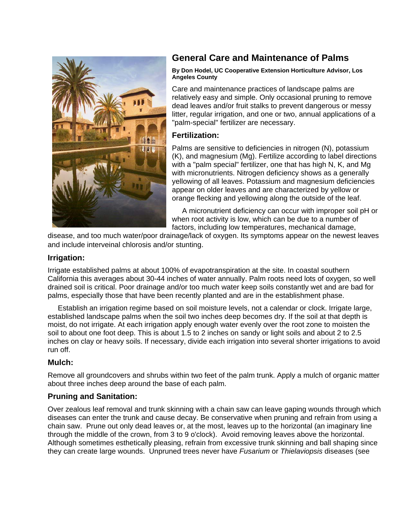

# **General Care and Maintenance of Palms**

#### **By Don Hodel, UC Cooperative Extension Horticulture Advisor, Los Angeles County**

Care and maintenance practices of landscape palms are relatively easy and simple. Only occasional pruning to remove dead leaves and/or fruit stalks to prevent dangerous or messy litter, regular irrigation, and one or two, annual applications of a "palm-special" fertilizer are necessary.

# **Fertilization:**

Palms are sensitive to deficiencies in nitrogen (N), potassium (K), and magnesium (Mg). Fertilize according to label directions with a "palm special" fertilizer, one that has high N, K, and Mg with micronutrients. Nitrogen deficiency shows as a generally yellowing of all leaves. Potassium and magnesium deficiencies appear on older leaves and are characterized by yellow or orange flecking and yellowing along the outside of the leaf.

 A micronutrient deficiency can occur with improper soil pH or when root activity is low, which can be due to a number of factors, including low temperatures, mechanical damage,

disease, and too much water/poor drainage/lack of oxygen. Its symptoms appear on the newest leaves and include interveinal chlorosis and/or stunting.

#### **Irrigation:**

Irrigate established palms at about 100% of evapotranspiration at the site. In coastal southern California this averages about 30-44 inches of water annually. Palm roots need lots of oxygen, so well drained soil is critical. Poor drainage and/or too much water keep soils constantly wet and are bad for palms, especially those that have been recently planted and are in the establishment phase.

 Establish an irrigation regime based on soil moisture levels, not a calendar or clock. Irrigate large, established landscape palms when the soil two inches deep becomes dry. If the soil at that depth is moist, do not irrigate. At each irrigation apply enough water evenly over the root zone to moisten the soil to about one foot deep. This is about 1.5 to 2 inches on sandy or light soils and about 2 to 2.5 inches on clay or heavy soils. If necessary, divide each irrigation into several shorter irrigations to avoid run off.

### **Mulch:**

Remove all groundcovers and shrubs within two feet of the palm trunk. Apply a mulch of organic matter about three inches deep around the base of each palm.

# **Pruning and Sanitation:**

Over zealous leaf removal and trunk skinning with a chain saw can leave gaping wounds through which diseases can enter the trunk and cause decay. Be conservative when pruning and refrain from using a chain saw. Prune out only dead leaves or, at the most, leaves up to the horizontal (an imaginary line through the middle of the crown, from 3 to 9 o'clock). Avoid removing leaves above the horizontal. Although sometimes esthetically pleasing, refrain from excessive trunk skinning and ball shaping since they can create large wounds. Unpruned trees never have *Fusarium* or *Thielaviopsis* diseases (see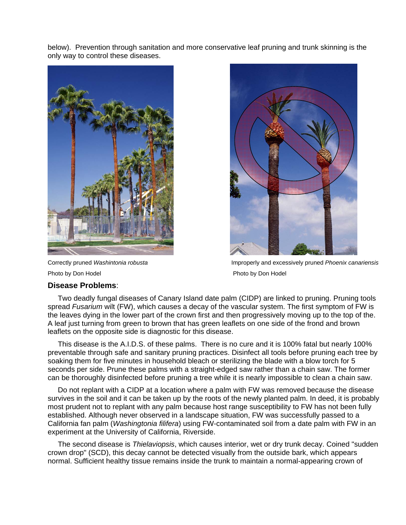below). Prevention through sanitation and more conservative leaf pruning and trunk skinning is the only way to control these diseases.



Photo by Don Hodel **Photo by Don Hodel** Photo by Don Hodel

Correctly pruned *Washintonia robusta* Improperly and excessively pruned *Phoenix canariensis*

#### **Disease Problems**:

 Two deadly fungal diseases of Canary Island date palm (CIDP) are linked to pruning. Pruning tools spread *Fusarium* wilt (FW), which causes a decay of the vascular system. The first symptom of FW is the leaves dying in the lower part of the crown first and then progressively moving up to the top of the. A leaf just turning from green to brown that has green leaflets on one side of the frond and brown leaflets on the opposite side is diagnostic for this disease.

 This disease is the A.I.D.S. of these palms. There is no cure and it is 100% fatal but nearly 100% preventable through safe and sanitary pruning practices. Disinfect all tools before pruning each tree by soaking them for five minutes in household bleach or sterilizing the blade with a blow torch for 5 seconds per side. Prune these palms with a straight-edged saw rather than a chain saw. The former can be thoroughly disinfected before pruning a tree while it is nearly impossible to clean a chain saw.

 Do not replant with a CIDP at a location where a palm with FW was removed because the disease survives in the soil and it can be taken up by the roots of the newly planted palm. In deed, it is probably most prudent not to replant with any palm because host range susceptibility to FW has not been fully established. Although never observed in a landscape situation, FW was successfully passed to a California fan palm (*Washingtonia filifera*) using FW-contaminated soil from a date palm with FW in an experiment at the University of California, Riverside.

 The second disease is *Thielaviopsis*, which causes interior, wet or dry trunk decay. Coined "sudden crown drop" (SCD), this decay cannot be detected visually from the outside bark, which appears normal. Sufficient healthy tissue remains inside the trunk to maintain a normal-appearing crown of